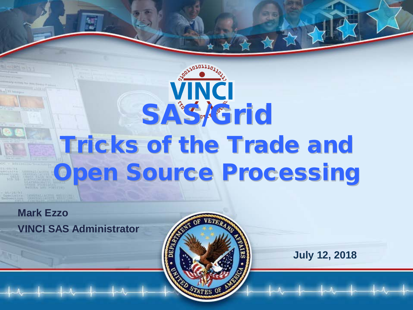# VINCI **SAS/Grid** Tricks of the Trade and Open Source Processing

**Mark Ezzo VINCI SAS Administrator**



**July 12, 2018**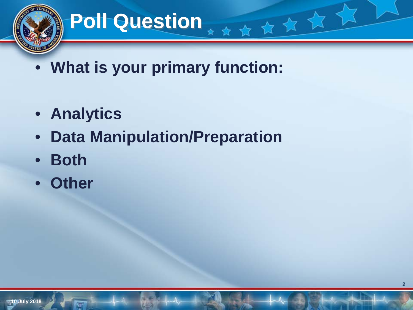

# **Poll Question**

• **What is your primary function:**

大女女女女

- **Analytics**
- **Data Manipulation/Preparation**
- **Both**
- **Other**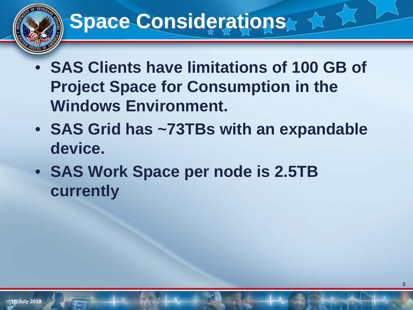# **Space Considerations**

- **SAS Clients have limitations of 100 GB of Project Space for Consumption in the Windows Environment.**
- **SAS Grid has ~73TBs with an expandable device.**
- **SAS Work Space per node is 2.5TB currently**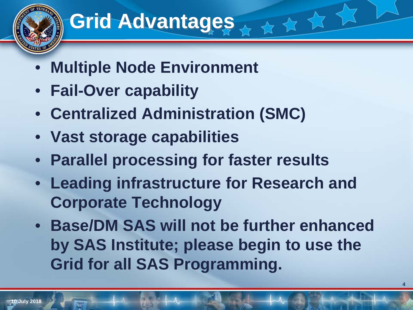# **Grid Advantages**

- **Multiple Node Environment**
- **Fail-Over capability**
- **Centralized Administration (SMC)**
- **Vast storage capabilities**
- **Parallel processing for faster results**
- **Leading infrastructure for Research and Corporate Technology**

☆☆☆☆

• **Base/DM SAS will not be further enhanced by SAS Institute; please begin to use the Grid for all SAS Programming.**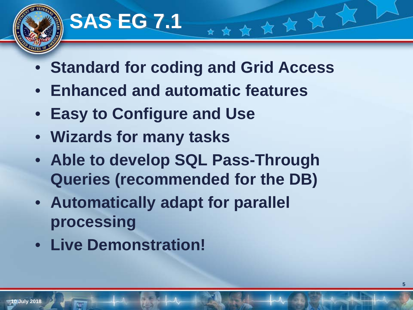

## **SAS EG 7.1**

• **Standard for coding and Grid Access**

★★★★★★★

- **Enhanced and automatic features**
- **Easy to Configure and Use**
- **Wizards for many tasks**
- **Able to develop SQL Pass-Through Queries (recommended for the DB)**
- **Automatically adapt for parallel processing**
- **Live Demonstration!**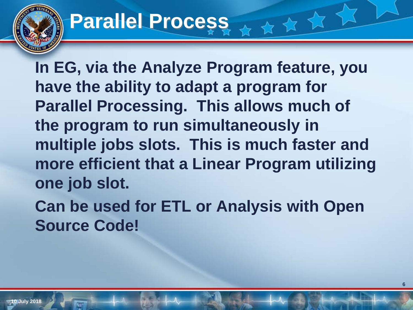# **Parallel Process**

**In EG, via the Analyze Program feature, you have the ability to adapt a program for Parallel Processing. This allows much of the program to run simultaneously in multiple jobs slots. This is much faster and more efficient that a Linear Program utilizing one job slot.**

女女女女

**Can be used for ETL or Analysis with Open Source Code!**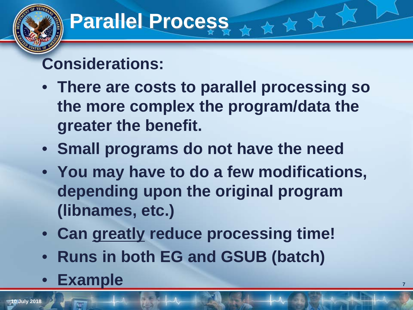# **Parallel Process**

### **Considerations:**

• **There are costs to parallel processing so the more complex the program/data the greater the benefit.**

女女女女

- **Small programs do not have the need**
- **You may have to do a few modifications, depending upon the original program (libnames, etc.)**
- **Can greatly reduce processing time!**
- **Runs in both EG and GSUB (batch)**
- **Example**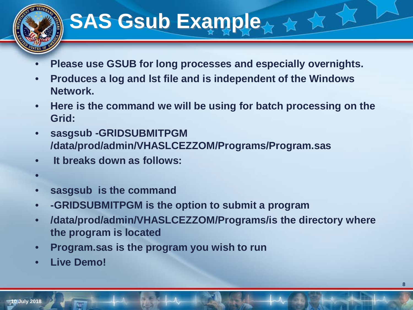# **SAS Gsub Example...**  $\star$  **+**

- **Please use GSUB for long processes and especially overnights.**
- **Produces a log and lst file and is independent of the Windows Network.**
- **Here is the command we will be using for batch processing on the Grid:**
- **sasgsub -GRIDSUBMITPGM /data/prod/admin/VHASLCEZZOM/Programs/Program.sas**
- • **It breaks down as follows:**
- •
- **sasgsub is the command**
- **-GRIDSUBMITPGM is the option to submit a program**
- **/data/prod/admin/VHASLCEZZOM/Programs/is the directory where the program is located**
- **Program.sas is the program you wish to run**
- **Live Demo!**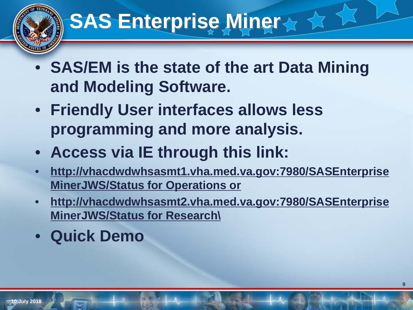# **SAS Enterprise Miner**

- **SAS/EM is the state of the art Data Mining and Modeling Software.**
- **Friendly User interfaces allows less programming and more analysis.**
- **Access via IE through this link:**
- **http://vhacdwdwhsasmt1.vha.med.va.gov:7980/SASEnterprise MinerJWS/Status for Operations or**
- **http://vhacdwdwhsasmt2.vha.med.va.gov:7980/SASEnterprise MinerJWS/Status for Research\**
- **Quick Demo**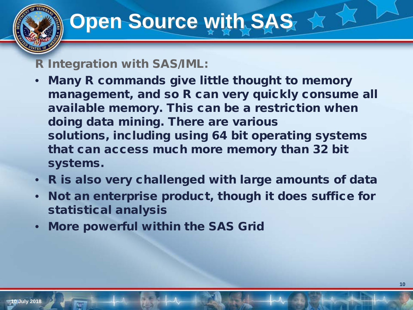# **Open Source with SAS 4**

#### R Integration with SAS/IML:

- Many R commands give little thought to memory management, and so R can very quickly consume all available memory. This can be a restriction when doing data mining. There are various solutions, including using 64 bit operating systems that can access much more memory than 32 bit systems.
- R is also very challenged with large amounts of data
- Not an enterprise product, though it does suffice for statistical analysis
- More powerful within the SAS Grid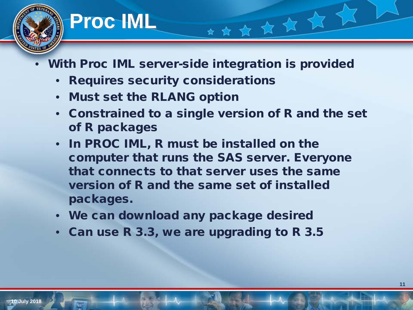## **Proc IML**

- With Proc IML server-side integration is provided
	- Requires security considerations
	- Must set the RLANG option
	- Constrained to a single version of R and the set of R packages

\*\*\*\*\*\*

- In PROC IML, R must be installed on the computer that runs the SAS server. Everyone that connects to that server uses the same version of R and the same set of installed packages.
- We can download any package desired
- Can use R 3.3, we are upgrading to R 3.5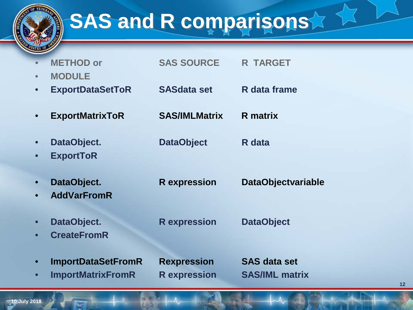

# **SAS and R comparisons**

| $\bullet$<br>$\bullet$ | <b>METHOD or</b><br><b>MODULE</b>                     | <b>SAS SOURCE</b>                         | <b>R TARGET</b>                              |
|------------------------|-------------------------------------------------------|-------------------------------------------|----------------------------------------------|
| $\bullet$              | <b>ExportDataSetToR</b>                               | <b>SASdata set</b>                        | R data frame                                 |
|                        | <b>ExportMatrixToR</b>                                | <b>SAS/IMLMatrix</b>                      | <b>R</b> matrix                              |
| $\bullet$<br>$\bullet$ | DataObject.<br><b>ExportToR</b>                       | <b>DataObject</b>                         | R data                                       |
| $\bullet$<br>$\bullet$ | DataObject.<br><b>AddVarFromR</b>                     | <b>R</b> expression                       | <b>DataObjectvariable</b>                    |
| $\bullet$<br>$\bullet$ | DataObject.<br><b>CreateFromR</b>                     | <b>R</b> expression                       | <b>DataObject</b>                            |
| $\bullet$<br>$\bullet$ | <b>ImportDataSetFromR</b><br><b>ImportMatrixFromR</b> | <b>Rexpression</b><br><b>R</b> expression | <b>SAS data set</b><br><b>SAS/IML matrix</b> |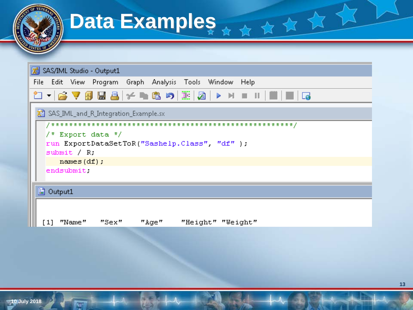|             | SAS/IML Studio - Output1                                             |
|-------------|----------------------------------------------------------------------|
|             | File Edit View Program Graph Analysis Tools Window Help              |
|             | <sup>2</sup> ロ▼ 合▽自国昌 ゲ┗€の 黒 2  ▶ H =    ■  ロ                        |
|             | SAS_IML_and_R_Integration_Example.sx                                 |
|             |                                                                      |
|             | $/$ * Export data */<br>run ExportDataSetToR("Sashelp.Class", "df"); |
| submit / R. |                                                                      |
|             | names $(df)$ ;                                                       |
| endsubmit   |                                                                      |
|             |                                                                      |

例

kπ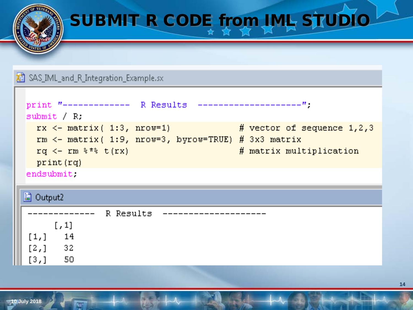# SUBMIT R CODE from IML STUDIO

#### SAS\_IML\_and\_R\_Integration\_Example.sx

**10 July 2018**

```
print "------------- R Results
submit R.
 rx \le - matrix (1:3, nrow=1)
                                       \# vector of sequence 1,2,3
 rm <- matrix ( 1:9, nrow=3, byrow=TRUE) # 3x3 matrix
 rq \leq - rm \frac{2\pi}{3} t (rx)
                                            # matrix multiplication
 print (rq)
endsubmit.
```

| B Output2                                       |           |  |  |  |  |
|-------------------------------------------------|-----------|--|--|--|--|
|                                                 | R Results |  |  |  |  |
| $\left[ \begin{array}{c} 1 \end{array} \right]$ |           |  |  |  |  |
| 14<br>[1,]                                      |           |  |  |  |  |
| 32<br>[2,]                                      |           |  |  |  |  |
| 50<br>[3,]                                      |           |  |  |  |  |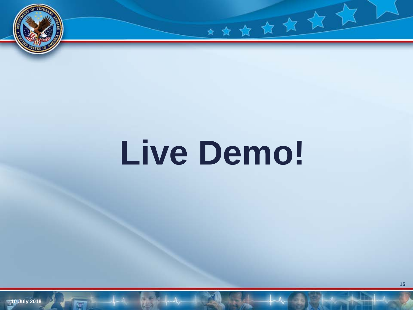

# **Live Demo!**

\*\*\*\*\*\*\*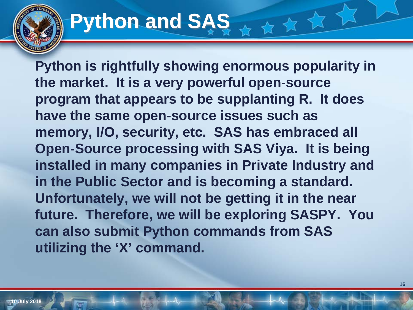#### **Python and SAS** 女女

**Python is rightfully showing enormous popularity in the market. It is a very powerful open-source program that appears to be supplanting R. It does have the same open-source issues such as memory, I/O, security, etc. SAS has embraced all Open-Source processing with SAS Viya. It is being installed in many companies in Private Industry and in the Public Sector and is becoming a standard. Unfortunately, we will not be getting it in the near future. Therefore, we will be exploring SASPY. You can also submit Python commands from SAS utilizing the 'X' command.**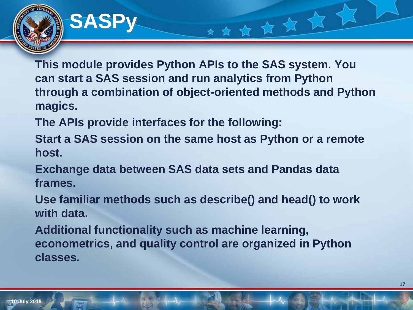### **SASPy**

**This module provides Python APIs to the SAS system. You can start a SAS session and run analytics from Python through a combination of object-oriented methods and Python magics.** 

★★★★★★

**The APIs provide interfaces for the following:**

**Start a SAS session on the same host as Python or a remote host.** 

**Exchange data between SAS data sets and Pandas data frames.**

**Use familiar methods such as describe() and head() to work with data.**

**Additional functionality such as machine learning, econometrics, and quality control are organized in Python classes.**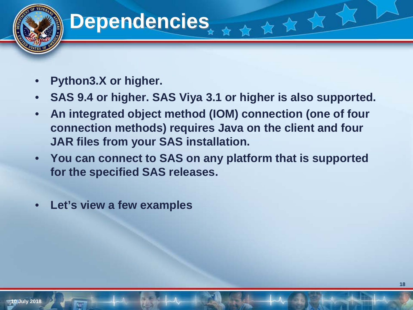## **Dependencies**

- **Python3.X or higher.**
- **SAS 9.4 or higher. SAS Viya 3.1 or higher is also supported.**

女女女

- **An integrated object method (IOM) connection (one of four connection methods) requires Java on the client and four JAR files from your SAS installation.**
- **You can connect to SAS on any platform that is supported for the specified SAS releases.**
- **Let's view a few examples**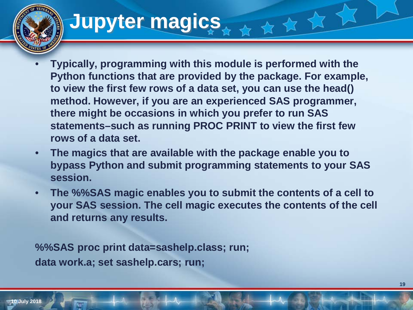# **Jupyter magics**

- **Typically, programming with this module is performed with the Python functions that are provided by the package. For example, to view the first few rows of a data set, you can use the head() method. However, if you are an experienced SAS programmer, there might be occasions in which you prefer to run SAS statements–such as running PROC PRINT to view the first few rows of a data set.**
- **The magics that are available with the package enable you to bypass Python and submit programming statements to your SAS session.**
- **The %%SAS magic enables you to submit the contents of a cell to your SAS session. The cell magic executes the contents of the cell and returns any results.**

**%%SAS proc print data=sashelp.class; run; data work.a; set sashelp.cars; run;**

**10 July 2018**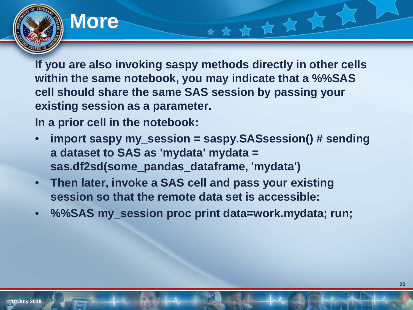#### **More**

**If you are also invoking saspy methods directly in other cells within the same notebook, you may indicate that a %%SAS cell should share the same SAS session by passing your existing session as a parameter.**

★★★★★★

**In a prior cell in the notebook:**

- **import saspy my\_session = saspy.SASsession() # sending a dataset to SAS as 'mydata' mydata = sas.df2sd(some\_pandas\_dataframe, 'mydata')**
- **Then later, invoke a SAS cell and pass your existing session so that the remote data set is accessible:**
- **%%SAS my\_session proc print data=work.mydata; run;**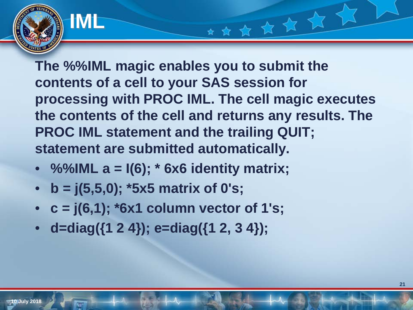**The %%IML magic enables you to submit the contents of a cell to your SAS session for processing with PROC IML. The cell magic executes the contents of the cell and returns any results. The PROC IML statement and the trailing QUIT; statement are submitted automatically.**

\*\*\*\*\*\*

- **%%IML a = I(6); \* 6x6 identity matrix;**
- **b = j(5,5,0); \*5x5 matrix of 0's;**

**IML**

- **c = j(6,1); \*6x1 column vector of 1's;**
- **d=diag({1 2 4}); e=diag({1 2, 3 4});**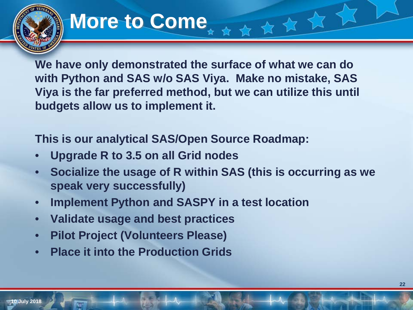## **More to Come**

**We have only demonstrated the surface of what we can do with Python and SAS w/o SAS Viya. Make no mistake, SAS Viya is the far preferred method, but we can utilize this until budgets allow us to implement it.**

大女女女

**This is our analytical SAS/Open Source Roadmap:**

- **Upgrade R to 3.5 on all Grid nodes**
- **Socialize the usage of R within SAS (this is occurring as we speak very successfully)**
- **Implement Python and SASPY in a test location**
- **Validate usage and best practices**
- **Pilot Project (Volunteers Please)**
- **Place it into the Production Grids**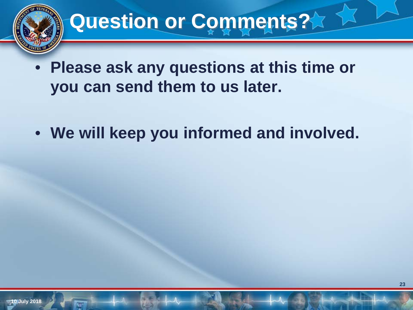# **Question or Comments?**

- **Please ask any questions at this time or you can send them to us later.**
- **We will keep you informed and involved.**